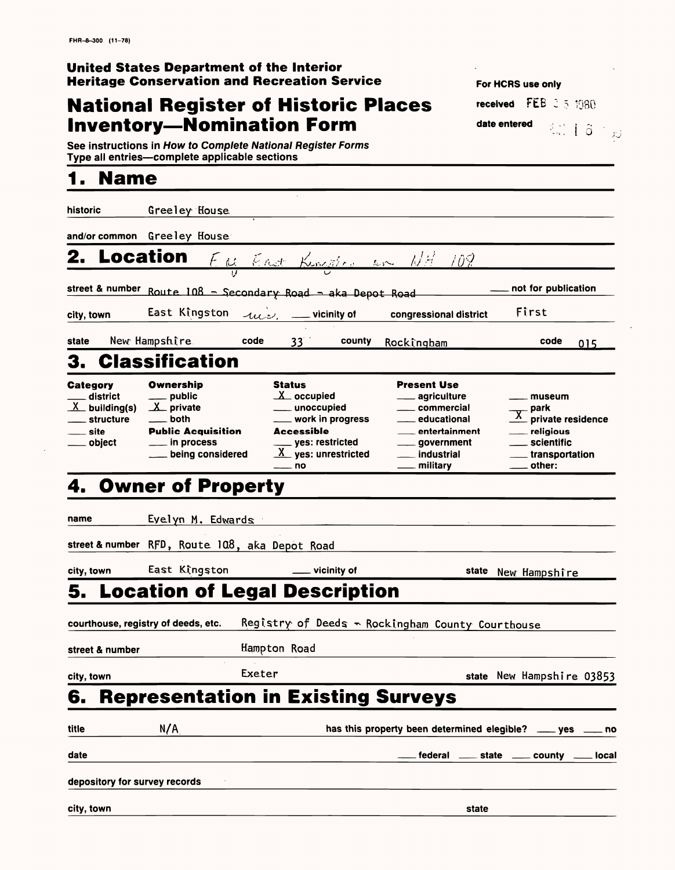#### **National Register of Historic Places Inventory-Nomination Form**

#### **United States Department of the Interior Heritage Conservation and Recreation Service**

See instructions in How to Complete National Register Forms Type all entries-complete applicable sections

| historic                                                                                | Greeley House                                                                                                                                                    |                                                                                                                                                                            |                                                                                                                                                                                                        |                                                                                            |
|-----------------------------------------------------------------------------------------|------------------------------------------------------------------------------------------------------------------------------------------------------------------|----------------------------------------------------------------------------------------------------------------------------------------------------------------------------|--------------------------------------------------------------------------------------------------------------------------------------------------------------------------------------------------------|--------------------------------------------------------------------------------------------|
|                                                                                         | and/or common Greeley House                                                                                                                                      |                                                                                                                                                                            |                                                                                                                                                                                                        |                                                                                            |
| <b>Location</b><br>2.                                                                   |                                                                                                                                                                  | <u>Eu East Kingdor en NH 108</u>                                                                                                                                           |                                                                                                                                                                                                        |                                                                                            |
| street & number                                                                         | Route 108 - Secondary Road - aka Depot Road                                                                                                                      |                                                                                                                                                                            |                                                                                                                                                                                                        | not for publication                                                                        |
| city, town                                                                              | East Kingston                                                                                                                                                    | $-1$                                                                                                                                                                       | congressional district                                                                                                                                                                                 | First                                                                                      |
| state                                                                                   | New Hampshire.<br>code                                                                                                                                           | 33 <sup>2</sup><br>county                                                                                                                                                  | Rockingham                                                                                                                                                                                             | code<br>015                                                                                |
|                                                                                         | 3. Classification                                                                                                                                                |                                                                                                                                                                            |                                                                                                                                                                                                        |                                                                                            |
| <b>Category</b><br>district<br>$X$ building(s)<br>structure<br><u>__</u> site<br>object | <b>Ownership</b><br><sub>–</sub> public<br>$\underline{\mathbf{X}}$ private<br><b>both</b><br><b>Public Acquisition</b><br>__ in process<br>___ being considered | <b>Status</b><br>$X$ occupied<br>____ unoccupied<br>____ work in progress<br><b>Accessible</b><br>____ yes: restricted<br>$\underline{X}$ yes: unrestricted<br>$\equiv$ no | <b>Present Use</b><br><u>__</u> __ agriculture<br><u>__</u> __ commercial<br>___ educational<br>___ entertainment<br>____ government<br>industrial<br>$\overline{\phantom{a}}$<br><u>_</u> __ military | museum<br>park<br>private residence<br>religious<br>scientific<br>transportation<br>other: |
| 4.                                                                                      | <b>Owner of Property</b>                                                                                                                                         |                                                                                                                                                                            |                                                                                                                                                                                                        |                                                                                            |
| name                                                                                    | Eyelyn M. Edwards                                                                                                                                                |                                                                                                                                                                            |                                                                                                                                                                                                        |                                                                                            |
| street & number                                                                         | RFD, Route 108, aka Depot Road                                                                                                                                   |                                                                                                                                                                            |                                                                                                                                                                                                        |                                                                                            |
| city, town                                                                              | East Kingston                                                                                                                                                    | vicinity of                                                                                                                                                                | state                                                                                                                                                                                                  | New Hampshire                                                                              |

### **1. Name**

**For HCRS use only** 

date entered

**received** FEB 2 5 1980

• •'•-•v. i *0*

## **5. Location of Legal Description**

**courthouse, registry of deeds, etc.** Registry of Deeds - Rockjngham County Courthouse

| courthouse, registry of deeds, etc. |                               | Registry of Deeds - Rockingham County Courthouse |                                                              |       |                                                 |  |
|-------------------------------------|-------------------------------|--------------------------------------------------|--------------------------------------------------------------|-------|-------------------------------------------------|--|
| street & number                     |                               | Hampton Road                                     |                                                              |       |                                                 |  |
| city, town                          |                               | Exeter                                           |                                                              |       | state New Hampshire 03853                       |  |
| 6.                                  |                               |                                                  | <b>Representation in Existing Surveys</b>                    |       |                                                 |  |
| title                               | N/A                           |                                                  | has this property been determined elegible? ____ yes ____ no |       |                                                 |  |
| date                                |                               |                                                  |                                                              |       | federal ______ state ______ county ______ local |  |
|                                     | depository for survey records |                                                  |                                                              |       |                                                 |  |
| city, town                          |                               |                                                  |                                                              | state |                                                 |  |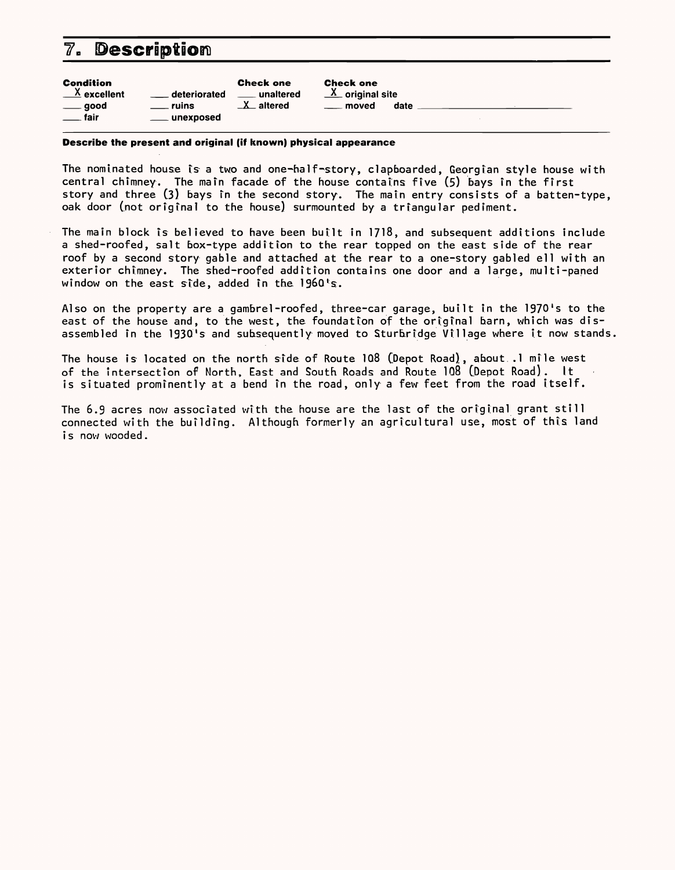#### **7. Description**

| <b>Condition</b><br>$\frac{\mathsf{X}}{\mathsf{X}}$ excellent<br>deteriorated<br><b>ruins</b><br>$\rule{1em}{0.15mm}$ good<br>. fair<br>unexposed | <b>Check one</b><br>unaltered<br>$\mathbf{X}$<br>$-$ altered | <b>Check one</b><br>$\underline{X}$ original site<br>date<br>moved |  |  |
|---------------------------------------------------------------------------------------------------------------------------------------------------|--------------------------------------------------------------|--------------------------------------------------------------------|--|--|
|---------------------------------------------------------------------------------------------------------------------------------------------------|--------------------------------------------------------------|--------------------------------------------------------------------|--|--|

The nominated house is a two and one-half-story, clapboarded, Georgian style house with central chimney. The main facade of the house contains five (5) bays in the first story and three (3) bays in the second story. The main entry consists of a batten-type, oak door (not original to the house) surmounted by a triangular pediment.

#### **Describe the present and original (if known) physical appearance**

The main block is believed to have been built in 1718, and subsequent additions include a shed-roofed, salt box-type addition to the rear topped on the east side of the rear roof by a second story gable and attached at the rear to a one-story gabled ell with an exterior chimney. The shed-roofed addition contains one door and a large, multi-paned window on the east side, added in the 1960's.

Also on the property are a gambrel-roofed, three-car garage, built in the 1970's to the east of the house and, to the west, the foundation of the original barn, which was disassembled in the 1930's and subsequently moved to Sturbridge Village where it now stands.

The house is located on the north side of Route 108 (Depot Road), about .1 mile west of the Intersection of North, East and South Roads and Route 108 [Depot Road). It is situated prominently at a bend in the road, only a few feet from the road itself.

The 6.9 acres now associated with the house are the last of the original grant still connected with the building. Although formerly an agricultural use, most of this land is now wooded.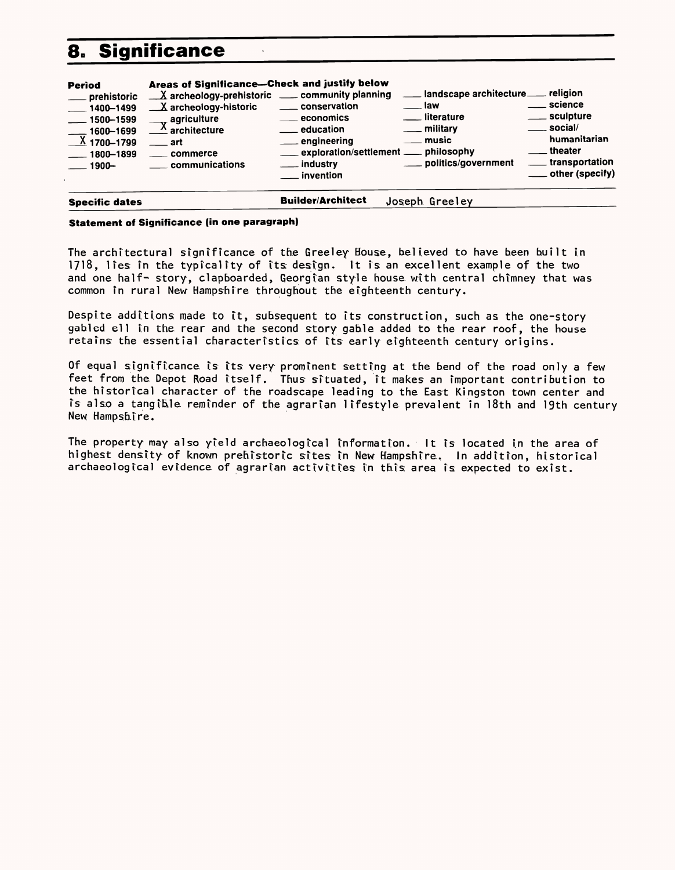### **8. Significance**

| <b>Period</b><br>__ prehistoric<br>$\frac{1}{2}$ 1400-1499<br>$-1500 - 1599$<br>$-1600 - 1699$<br>$X$ 1700-1799<br>$\frac{1800 - 1899}{ }$<br>$-1900-$ | Areas of Significance-Check and justify below<br>X archeology-prehistoric ___ community planning<br>$X$ archeology-historic<br>agriculture<br>$\triangle$ architecture<br>$\overline{\phantom{0}}$ art<br>commerce<br>communications | ____ conservation<br>____ economics<br><u>__</u> education<br>__ engineering<br>exploration/settlement __ philosophy<br>___ industry<br>$\_$ invention | __ landscape architecture __ religion<br>$\equiv$ law<br><u>__</u> __ literature<br>___ military<br><u>_</u> _ music<br>___ politics/government | . science<br>____ sculpture<br>$\rule{1em}{0.15mm}$ social/<br>humanitarian<br>theater<br><u>_</u> ___ transportation<br>___ other (specify) |
|--------------------------------------------------------------------------------------------------------------------------------------------------------|--------------------------------------------------------------------------------------------------------------------------------------------------------------------------------------------------------------------------------------|--------------------------------------------------------------------------------------------------------------------------------------------------------|-------------------------------------------------------------------------------------------------------------------------------------------------|----------------------------------------------------------------------------------------------------------------------------------------------|
| <b>Specific dates</b>                                                                                                                                  |                                                                                                                                                                                                                                      | <b>Builder/Architect</b>                                                                                                                               | Joseph Greeley                                                                                                                                  |                                                                                                                                              |

#### **Statement of Significance (in one paragraph)**

The architectural significance of the Greeley House, believed to have been built in 1718, lies in the typicality of its design. It is an excellent example of the two and one half- story, clapboarded, Georgian style house with central chimney that was common in rural New Hampshire throughout the eighteenth century.

Despite additions made to it, subsequent to its construction, such as the one-story gabled ell in the rear and the second story gable added to the rear roof, the house retains the essential characteristics of its early eighteenth century origins.

Of equal significance is its very prominent setting at the bend of the road only a few feet from the Depot Road itself. Thus situated, it makes an important contribution to the historical character of the roadscape leading to the East Kingston town center and is also a tangible, reminder of the agrarian lifestyle prevalent in 18th and 19th century New Hampshire.

The property may also yield archaeological information. It is located in the area of highest density of known prehistoric sites in New Hampshire. In addition, historical archaeological evidence of agrarian activities in this area is expected to exist.